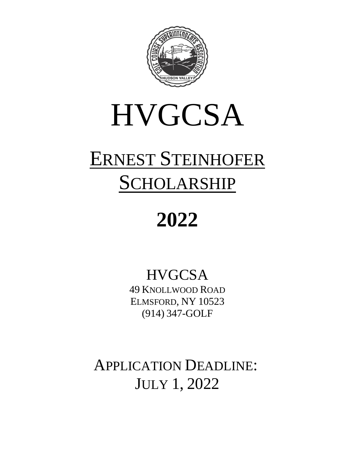

# **HVGCSA**

# ERNEST STEINHOFER SCHOLARSHIP

# **2022**

### **HVGCSA**

49 KNOLLWOOD ROAD ELMSFORD, NY 10523 (914) 347-GOLF

APPLICATION DEADLINE: JULY 1, 2022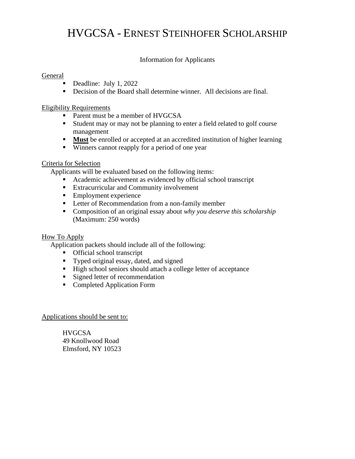### HVGCSA - ERNEST STEINHOFER SCHOLARSHIP

#### Information for Applicants

#### General

- Deadline: July 1, 2022
- Decision of the Board shall determine winner. All decisions are final.

#### Eligibility Requirements

- Parent must be a member of HVGCSA
- Student may or may not be planning to enter a field related to golf course management
- **If Must** be enrolled or accepted at an accredited institution of higher learning
- Winners cannot reapply for a period of one year

#### Criteria for Selection

Applicants will be evaluated based on the following items:

- Academic achievement as evidenced by official school transcript
- Extracurricular and Community involvement
- Employment experience
- **EXECUTE:** Letter of Recommendation from a non-family member
- Composition of an original essay about *why you deserve this scholarship* (Maximum: 250 words)

#### How To Apply

Application packets should include all of the following:

- Official school transcript
- Typed original essay, dated, and signed
- High school seniors should attach a college letter of acceptance
- Signed letter of recommendation
- Completed Application Form

#### Applications should be sent to:

**HVGCSA** 49 Knollwood Road Elmsford, NY 10523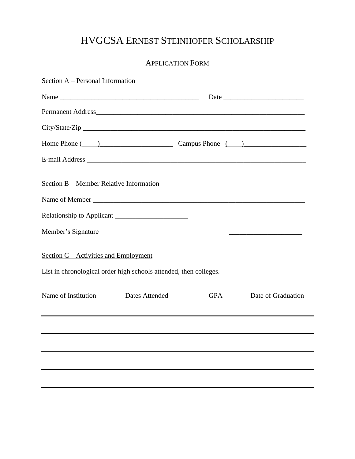### HVGCSA ERNEST STEINHOFER SCHOLARSHIP

#### APPLICATION FORM

| Section A - Personal Information                                  |                |            |                    |
|-------------------------------------------------------------------|----------------|------------|--------------------|
|                                                                   |                |            |                    |
|                                                                   |                |            |                    |
|                                                                   |                |            |                    |
| Home Phone (2002) Campus Phone (2003)                             |                |            |                    |
|                                                                   |                |            |                    |
| Section B – Member Relative Information                           |                |            |                    |
|                                                                   |                |            |                    |
|                                                                   |                |            |                    |
| Member's Signature                                                |                |            |                    |
| Section $C$ – Activities and Employment                           |                |            |                    |
| List in chronological order high schools attended, then colleges. |                |            |                    |
| Name of Institution                                               | Dates Attended | <b>GPA</b> | Date of Graduation |
|                                                                   |                |            |                    |
|                                                                   |                |            |                    |
|                                                                   |                |            |                    |
|                                                                   |                |            |                    |
|                                                                   |                |            |                    |